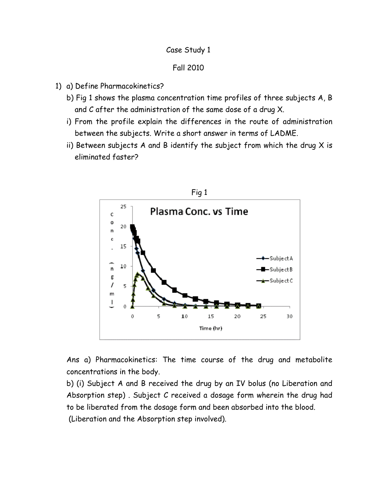## Case Study 1

## Fall 2010

- 1) a) Define Pharmacokinetics?
	- b) Fig 1 shows the plasma concentration time profiles of three subjects A, B and C after the administration of the same dose of a drug X.
	- i) From the profile explain the differences in the route of administration between the subjects. Write a short answer in terms of LADME.
	- ii) Between subjects A and B identify the subject from which the drug  $X$  is eliminated faster?



Ans a) Pharmacokinetics: The time course of the drug and metabolite concentrations in the body.

b) (i) Subject A and B received the drug by an IV bolus (no Liberation and Absorption step) . Subject C received a dosage form wherein the drug had to be liberated from the dosage form and been absorbed into the blood. (Liberation and the Absorption step involved).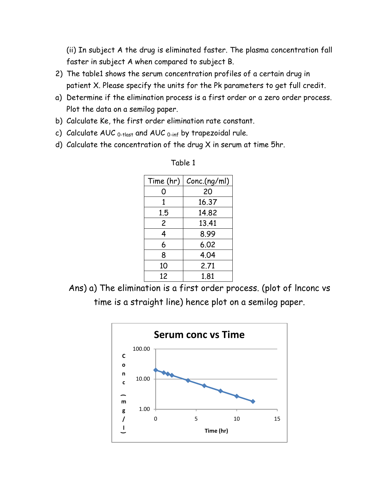(ii) In subject A the drug is eliminated faster. The plasma concentration fall faster in subject A when compared to subject B.

- 2) The table1 shows the serum concentration profiles of a certain drug in patient X. Please specify the units for the Pk parameters to get full credit.
- a) Determine if the elimination process is a first order or a zero order process. Plot the data on a semilog paper.
- b) Calculate Ke, the first order elimination rate constant.
- c) Calculate AUC  $_{0$ -tlast and AUC  $_{0$ -inf by trapezoidal rule.
- d) Calculate the concentration of the drug X in serum at time 5hr.

| Time (hr) | Conc.(ng/ml) |  |
|-----------|--------------|--|
| O         | 20           |  |
| 1         | 16.37        |  |
| 1.5       | 14.82        |  |
| 2         | 13.41        |  |
| 4         | 8.99         |  |
| 6         | 6.02         |  |
| 8         | 4.04         |  |
| 10        | 2.71         |  |
| 12        | 1.81         |  |

Table 1

Ans) a) The elimination is a first order process. (plot of lnconc vs time is a straight line) hence plot on a semilog paper.